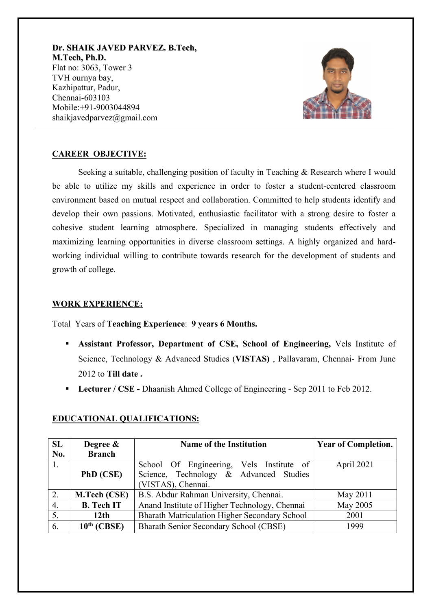**Dr. SHAIK JAVED PARVEZ. B.Tech, M.Tech, Ph.D.** Flat no: 3063, Tower 3 TVH ournya bay, Kazhipattur, Padur, Chennai-603103 Mobile:+91-9003044894 shaikjavedparvez@gmail.com



## **CAREER OBJECTIVE:**

 Seeking a suitable, challenging position of faculty in Teaching & Research where I would be able to utilize my skills and experience in order to foster a student-centered classroom environment based on mutual respect and collaboration. Committed to help students identify and develop their own passions. Motivated, enthusiastic facilitator with a strong desire to foster a cohesive student learning atmosphere. Specialized in managing students effectively and maximizing learning opportunities in diverse classroom settings. A highly organized and hardworking individual willing to contribute towards research for the development of students and growth of college.

### **WORK EXPERIENCE:**

Total Years of **Teaching Experience**: **9 years 6 Months.** 

- **Assistant Professor, Department of CSE, School of Engineering,** Vels Institute of Science, Technology & Advanced Studies (**VISTAS)** , Pallavaram, Chennai- From June 2012 to **Till date .**
- **Lecturer / CSE** Dhaanish Ahmed College of Engineering Sep 2011 to Feb 2012.

| SL  | Degree &                | <b>Name of the Institution</b>                | <b>Year of Completion.</b> |
|-----|-------------------------|-----------------------------------------------|----------------------------|
| No. | <b>Branch</b>           |                                               |                            |
|     |                         | School Of Engineering, Vels Institute of      | April 2021                 |
|     | PhD (CSE)               | Science, Technology & Advanced Studies        |                            |
|     |                         | (VISTAS), Chennai.                            |                            |
| 2.  | M.Tech (CSE)            | B.S. Abdur Rahman University, Chennai.        | May 2011                   |
| 4.  | <b>B.</b> Tech IT       | Anand Institute of Higher Technology, Chennai | May 2005                   |
| 5.  | 12 <sub>th</sub>        | Bharath Matriculation Higher Secondary School | 2001                       |
| 6.  | 10 <sup>th</sup> (CBSE) | Bharath Senior Secondary School (CBSE)        | 1999                       |

## **EDUCATIONAL QUALIFICATIONS:**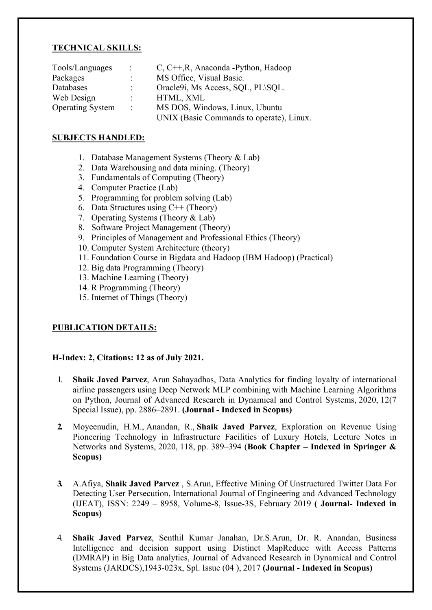### **TECHNICAL SKILLS:**

| Tools/Languages         | $\mathcal{L}$        | C, C++, R, Anaconda - Python, Hadoop     |
|-------------------------|----------------------|------------------------------------------|
| Packages                | $\mathbb{R}^n$       | MS Office, Visual Basic.                 |
| Databases               |                      | Oracle9i, Ms Access, SQL, PL\SQL.        |
| Web Design              | $\ddot{\phantom{0}}$ | HTML, XML                                |
| <b>Operating System</b> | $\sim$ 100 $\sim$    | MS DOS, Windows, Linux, Ubuntu           |
|                         |                      | UNIX (Basic Commands to operate), Linux. |

#### **SUBJECTS HANDLED:**

- 1. Database Management Systems (Theory & Lab)
- 2. Data Warehousing and data mining. (Theory)
- 3. Fundamentals of Computing (Theory)
- 4. Computer Practice (Lab)
- 5. Programming for problem solving (Lab)
- 6. Data Structures using C++ (Theory)
- 7. Operating Systems (Theory & Lab)
- 8. Software Project Management (Theory)
- 9. Principles of Management and Professional Ethics (Theory)
- 10. Computer System Architecture (theory)
- 11. Foundation Course in Bigdata and Hadoop (IBM Hadoop) (Practical)
- 12. Big data Programming (Theory)
- 13. Machine Learning (Theory)
- 14. R Programming (Theory)
- 15. Internet of Things (Theory)

# **PUBLICATION DETAILS:**

### **H-Index: 2, Citations: 12 as of July 2021.**

- 1. **Shaik Javed Parvez**, Arun Sahayadhas, Data Analytics for finding loyalty of international airline passengers using Deep Network MLP combining with Machine Learning Algorithms on Python, Journal of Advanced Research in Dynamical and Control Systems, 2020, 12(7 Special Issue), pp. 2886–2891. **(Journal - Indexed in Scopus)**
- **2.** [Moyeenudin, H.M.,](https://www.scopus.com/authid/detail.uri?authorId=57202029567) [Anandan, R.,](https://www.scopus.com/authid/detail.uri?authorId=55418360900) **Shaik Javed Parvez**, Exploration on Revenue Using Pioneering Technology in Infrastructure Facilities of Luxury Hotels, Lecture Notes in Networks and Systems, 2020, 118, pp. 389–394 (**Book Chapter – Indexed in Springer & Scopus)**
- **3.** A.Afiya, **Shaik Javed Parvez** , S.Arun, Effective Mining Of Unstructured Twitter Data For Detecting User Persecution, International Journal of Engineering and Advanced Technology (IJEAT), ISSN: 2249 – 8958, Volume-8, Issue-3S, February 2019 **( Journal- Indexed in Scopus)**
- 4. **Shaik Javed Parvez**, Senthil Kumar Janahan, Dr.S.Arun, Dr. R. Anandan, Business Intelligence and decision support using Distinct MapReduce with Access Patterns (DMRAP) in Big Data analytics, Journal of Advanced Research in Dynamical and Control Systems (JARDCS),1943-023x, Spl. Issue (04 ), 2017 **(Journal - Indexed in Scopus)**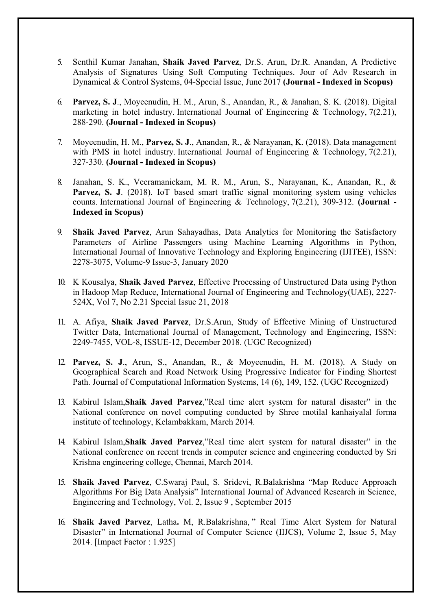- 5. Senthil Kumar Janahan, **Shaik Javed Parvez**, Dr.S. Arun, Dr.R. Anandan, A Predictive Analysis of Signatures Using Soft Computing Techniques. Jour of Adv Research in Dynamical & Control Systems, 04-Special Issue, June 2017 **(Journal - Indexed in Scopus)**
- 6. **Parvez, S. J**., Moyeenudin, H. M., Arun, S., Anandan, R., & Janahan, S. K. (2018). Digital marketing in hotel industry. International Journal of Engineering & Technology, 7(2.21), 288-290. **(Journal - Indexed in Scopus)**
- 7. Moyeenudin, H. M., **Parvez, S. J**., Anandan, R., & Narayanan, K. (2018). Data management with PMS in hotel industry. International Journal of Engineering & Technology, 7(2.21), 327-330. **(Journal - Indexed in Scopus)**
- 8. Janahan, S. K., Veeramanickam, M. R. M., Arun, S., Narayanan, K., Anandan, R., & Parvez, S. J. (2018). IoT based smart traffic signal monitoring system using vehicles counts. International Journal of Engineering & Technology, 7(2.21), 309-312. **(Journal - Indexed in Scopus)**
- 9. **Shaik Javed Parvez**, Arun Sahayadhas, Data Analytics for Monitoring the Satisfactory Parameters of Airline Passengers using Machine Learning Algorithms in Python, International Journal of Innovative Technology and Exploring Engineering (IJITEE), ISSN: 2278-3075, Volume-9 Issue-3, January 2020
- 10. K Kousalya, **Shaik Javed Parvez**, Effective Processing of Unstructured Data using Python in Hadoop Map Reduce, International Journal of Engineering and Technology(UAE), 2227- 524X, Vol 7, No 2.21 Special Issue 21, 2018
- 11. A. Afiya, **Shaik Javed Parvez**, Dr.S.Arun, Study of Effective Mining of Unstructured Twitter Data, International Journal of Management, Technology and Engineering, ISSN: 2249-7455, VOL-8, ISSUE-12, December 2018. (UGC Recognized)
- 12. **Parvez, S. J**., Arun, S., Anandan, R., & Moyeenudin, H. M. (2018). A Study on Geographical Search and Road Network Using Progressive Indicator for Finding Shortest Path. Journal of Computational Information Systems, 14 (6), 149, 152. (UGC Recognized)
- 13. Kabirul Islam,**Shaik Javed Parvez**,"Real time alert system for natural disaster" in the National conference on novel computing conducted by Shree motilal kanhaiyalal forma institute of technology, Kelambakkam, March 2014.
- 14. Kabirul Islam,**Shaik Javed Parvez**,"Real time alert system for natural disaster" in the National conference on recent trends in computer science and engineering conducted by Sri Krishna engineering college, Chennai, March 2014.
- 15. **Shaik Javed Parvez**, C.Swaraj Paul, S. Sridevi, R.Balakrishna "Map Reduce Approach Algorithms For Big Data Analysis" International Journal of Advanced Research in Science, Engineering and Technology, Vol. 2, Issue 9 , September 2015
- 16. **Shaik Javed Parvez**, Latha**.** M, R.Balakrishna, " Real Time Alert System for Natural Disaster" in International Journal of Computer Science (IIJCS), Volume 2, Issue 5, May 2014. [Impact Factor : 1.925]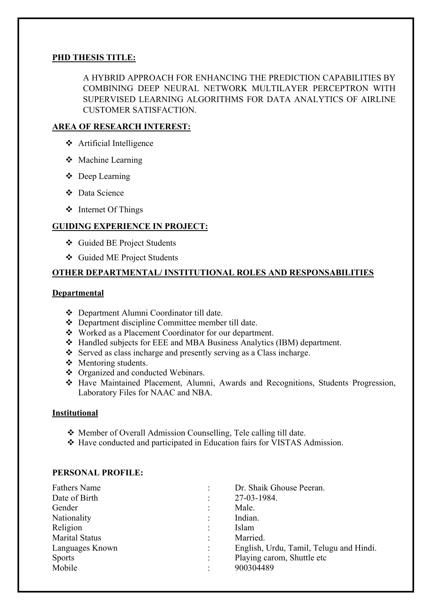## **PHD THESIS TITLE:**

A HYBRID APPROACH FOR ENHANCING THE PREDICTION CAPABILITIES BY COMBINING DEEP NEURAL NETWORK MULTILAYER PERCEPTRON WITH SUPERVISED LEARNING ALGORITHMS FOR DATA ANALYTICS OF AIRLINE CUSTOMER SATISFACTION.

## **AREA OF RESEARCH INTEREST:**

- Artificial Intelligence
- Machine Learning
- Deep Learning
- Data Science
- ❖ Internet Of Things

## **GUIDING EXPERIENCE IN PROJECT:**

- Guided BE Project Students
- Guided ME Project Students

## **OTHER DEPARTMENTAL/ INSTITUTIONAL ROLES AND RESPONSABILITIES**

### **Departmental**

- Department Alumni Coordinator till date.
- Department discipline Committee member till date.
- Worked as a Placement Coordinator for our department.
- Handled subjects for EEE and MBA Business Analytics (IBM) department.
- $\triangle$  Served as class incharge and presently serving as a Class incharge.
- ❖ Mentoring students.
- ❖ Organized and conducted Webinars.
- Have Maintained Placement, Alumni, Awards and Recognitions, Students Progression, Laboratory Files for NAAC and NBA.

### **Institutional**

- Member of Overall Admission Counselling, Tele calling till date.
- Have conducted and participated in Education fairs for VISTAS Admission.

### **PERSONAL PROFILE:**

| English, Urdu, Tamil, Telugu and Hindi. |
|-----------------------------------------|
|                                         |
|                                         |
|                                         |